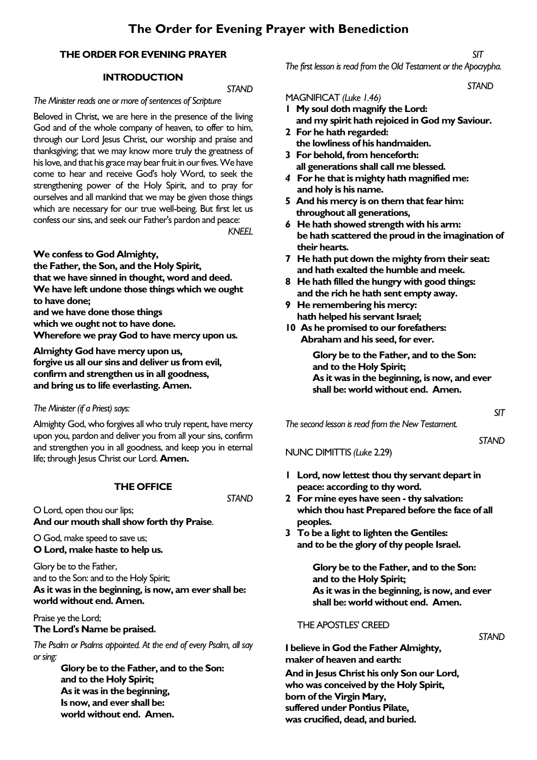## **THE ORDER FOR EVENING PRAYER**

### **INTRODUCTION**

### *STAND*

### *The Minister reads one or more of sentences of Scripture*

Beloved in Christ, we are here in the presence of the living God and of the whole company of heaven, to offer to him, through our Lord Jesus Christ, our worship and praise and thanksgiving; that we may know more truly the greatness of his love, and that his grace may bear fruit in our fives. We have come to hear and receive God's holy Word, to seek the strengthening power of the Holy Spirit, and to pray for ourselves and all mankind that we may be given those things which are necessary for our true well-being. But first let us confess our sins, and seek our Father's pardon and peace:

*KNEEL*

### **We confess to God Almighty,**

**the Father, the Son, and the Holy Spirit, that we have sinned in thought, word and deed. We have left undone those things which we ought to have done; and we have done those things** 

**which we ought not to have done.** 

**Wherefore we pray God to have mercy upon us.**

**Almighty God have mercy upon us, forgive us all our sins and deliver us from evil, confirm and strengthen us in all goodness, and bring us to life everlasting. Amen.**

### *The Minister (if a Priest) says:*

Almighty God, who forgives all who truly repent, have mercy upon you, pardon and deliver you from all your sins, confirm and strengthen you in all goodness, and keep you in eternal life; through Jesus Christ our Lord. **Amen.** 

### **THE OFFICE**

*STAND*

O Lord, open thou our lips; **And our mouth shall show forth thy Praise**.

O God, make speed to save us; **O Lord, make haste to help us.**

Glory be to the Father, and to the Son: and to the Holy Spirit; **As it was in the beginning, is now, am ever shall be: world without end. Amen.**

Praise ye the Lord; **The Lord's Name be praised.**

*The Psalm or Psalms appointed. At the end of every Psalm, all say or sing:*

> **Glory be to the Father, and to the Son: and to the Holy Spirit; As it was in the beginning, Is now, and ever shall be: world without end. Amen.**

*SIT*

*The first lesson is read from the Old Testament or the Apocrypha.*

*STAND* 

### MAGNIFICAT *(Luke 1.46)*

- **1 My soul doth magnify the Lord: and my spirit hath rejoiced in God my Saviour.**
- **2 For he hath regarded: the lowliness of his handmaiden.**
- **3 For behold, from henceforth: all generations shall call me blessed.**
- *4* **For he that is mighty hath magnified me: and holy is his name.**
- **5 And his mercy is on them that fear him: throughout all generations,**
- *6* **He hath showed strength with his arm: be hath scattered the proud in the imagination of their hearts.**
- **7 He hath put down the mighty from their seat: and hath exalted the humble and meek.**
- **8 He hath filled the hungry with good things: and the rich he hath sent empty away.**
- **9 He remembering his mercy: hath helped his servant Israel;**
- **10 As he promised to our forefathers: Abraham and his seed, for ever.**

**Glory be to the Father, and to the Son: and to the Holy Spirit; As it was in the beginning, is now, and ever shall be: world without end. Amen.**

*The second lesson is read from the New Testament.*

NUNC DIMITTIS *(Luke* 2.29)

*STAND*

*SIT*

- **1 Lord, now lettest thou thy servant depart in peace: according to thy word.**
- **2 For mine eyes have seen - thy salvation: which thou hast Prepared before the face of all peoples.**
- **3 To be a light to lighten the Gentiles: and to be the glory of thy people Israel.**

**Glory be to the Father, and to the Son: and to the Holy Spirit; As it was in the beginning, is now, and ever shall be: world without end. Amen.**

### THE APOSTLES' CREED

*STAND*

**I believe in God the Father Almighty, maker of heaven and earth:**

**And in Jesus Christ his only Son our Lord, who was conceived by the Holy Spirit, born of the Virgin Mary, suffered under Pontius Pilate, was crucified, dead, and buried.**